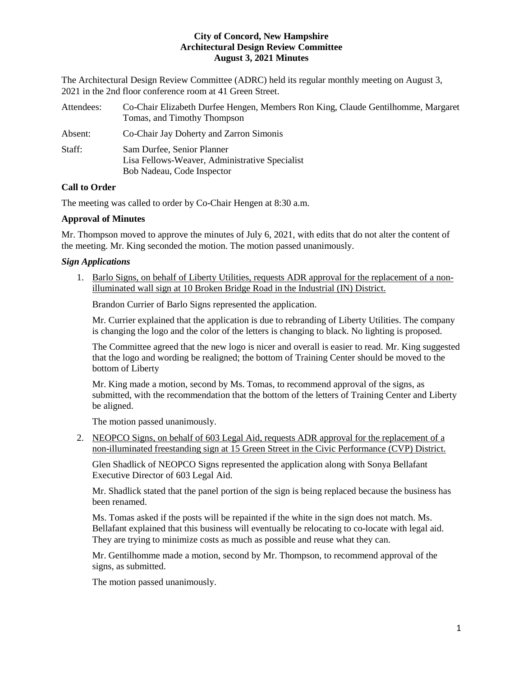The Architectural Design Review Committee (ADRC) held its regular monthly meeting on August 3, 2021 in the 2nd floor conference room at 41 Green Street.

| Attendees: | Co-Chair Elizabeth Durfee Hengen, Members Ron King, Claude Gentilhomme, Margaret<br>Tomas, and Timothy Thompson |
|------------|-----------------------------------------------------------------------------------------------------------------|
| Absent:    | Co-Chair Jay Doherty and Zarron Simonis                                                                         |
| Staff:     | Sam Durfee, Senior Planner<br>Lisa Fellows-Weaver, Administrative Specialist<br>Bob Nadeau, Code Inspector      |

# **Call to Order**

The meeting was called to order by Co-Chair Hengen at 8:30 a.m.

# **Approval of Minutes**

Mr. Thompson moved to approve the minutes of July 6, 2021, with edits that do not alter the content of the meeting. Mr. King seconded the motion. The motion passed unanimously.

# *Sign Applications*

1. Barlo Signs, on behalf of Liberty Utilities, requests ADR approval for the replacement of a nonilluminated wall sign at 10 Broken Bridge Road in the Industrial (IN) District.

Brandon Currier of Barlo Signs represented the application.

Mr. Currier explained that the application is due to rebranding of Liberty Utilities. The company is changing the logo and the color of the letters is changing to black. No lighting is proposed.

The Committee agreed that the new logo is nicer and overall is easier to read. Mr. King suggested that the logo and wording be realigned; the bottom of Training Center should be moved to the bottom of Liberty

Mr. King made a motion, second by Ms. Tomas, to recommend approval of the signs, as submitted, with the recommendation that the bottom of the letters of Training Center and Liberty be aligned.

The motion passed unanimously.

2. NEOPCO Signs, on behalf of 603 Legal Aid, requests ADR approval for the replacement of a non-illuminated freestanding sign at 15 Green Street in the Civic Performance (CVP) District.

Glen Shadlick of NEOPCO Signs represented the application along with Sonya Bellafant Executive Director of 603 Legal Aid.

Mr. Shadlick stated that the panel portion of the sign is being replaced because the business has been renamed.

Ms. Tomas asked if the posts will be repainted if the white in the sign does not match. Ms. Bellafant explained that this business will eventually be relocating to co-locate with legal aid. They are trying to minimize costs as much as possible and reuse what they can.

Mr. Gentilhomme made a motion, second by Mr. Thompson, to recommend approval of the signs, as submitted.

The motion passed unanimously.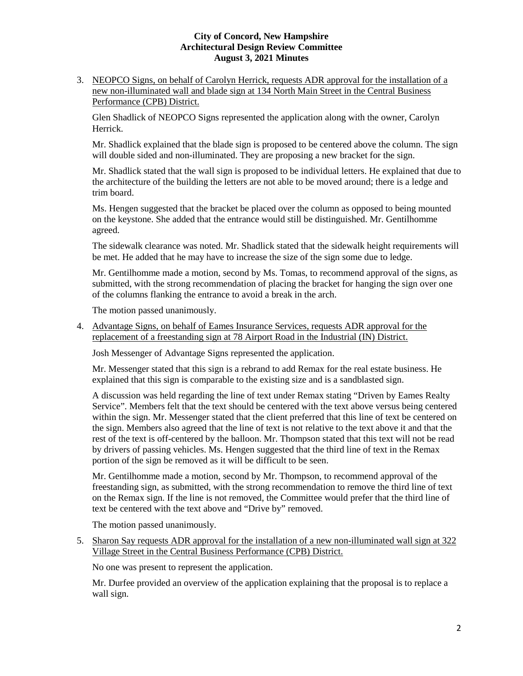3. NEOPCO Signs, on behalf of Carolyn Herrick, requests ADR approval for the installation of a new non-illuminated wall and blade sign at 134 North Main Street in the Central Business Performance (CPB) District.

Glen Shadlick of NEOPCO Signs represented the application along with the owner, Carolyn Herrick.

Mr. Shadlick explained that the blade sign is proposed to be centered above the column. The sign will double sided and non-illuminated. They are proposing a new bracket for the sign.

Mr. Shadlick stated that the wall sign is proposed to be individual letters. He explained that due to the architecture of the building the letters are not able to be moved around; there is a ledge and trim board.

Ms. Hengen suggested that the bracket be placed over the column as opposed to being mounted on the keystone. She added that the entrance would still be distinguished. Mr. Gentilhomme agreed.

The sidewalk clearance was noted. Mr. Shadlick stated that the sidewalk height requirements will be met. He added that he may have to increase the size of the sign some due to ledge.

Mr. Gentilhomme made a motion, second by Ms. Tomas, to recommend approval of the signs, as submitted, with the strong recommendation of placing the bracket for hanging the sign over one of the columns flanking the entrance to avoid a break in the arch.

The motion passed unanimously.

4. Advantage Signs, on behalf of Eames Insurance Services, requests ADR approval for the replacement of a freestanding sign at 78 Airport Road in the Industrial (IN) District.

Josh Messenger of Advantage Signs represented the application.

Mr. Messenger stated that this sign is a rebrand to add Remax for the real estate business. He explained that this sign is comparable to the existing size and is a sandblasted sign.

A discussion was held regarding the line of text under Remax stating "Driven by Eames Realty Service". Members felt that the text should be centered with the text above versus being centered within the sign. Mr. Messenger stated that the client preferred that this line of text be centered on the sign. Members also agreed that the line of text is not relative to the text above it and that the rest of the text is off-centered by the balloon. Mr. Thompson stated that this text will not be read by drivers of passing vehicles. Ms. Hengen suggested that the third line of text in the Remax portion of the sign be removed as it will be difficult to be seen.

Mr. Gentilhomme made a motion, second by Mr. Thompson, to recommend approval of the freestanding sign, as submitted, with the strong recommendation to remove the third line of text on the Remax sign. If the line is not removed, the Committee would prefer that the third line of text be centered with the text above and "Drive by" removed.

The motion passed unanimously.

5. Sharon Say requests ADR approval for the installation of a new non-illuminated wall sign at 322 Village Street in the Central Business Performance (CPB) District.

No one was present to represent the application.

Mr. Durfee provided an overview of the application explaining that the proposal is to replace a wall sign.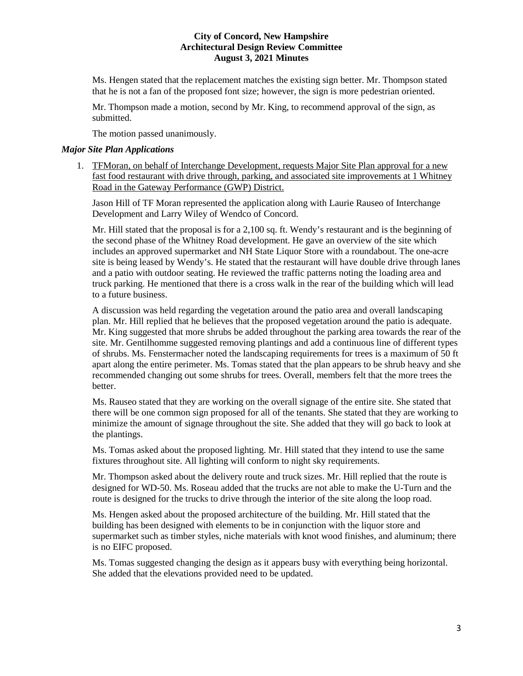Ms. Hengen stated that the replacement matches the existing sign better. Mr. Thompson stated that he is not a fan of the proposed font size; however, the sign is more pedestrian oriented.

Mr. Thompson made a motion, second by Mr. King, to recommend approval of the sign, as submitted.

The motion passed unanimously.

### *Major Site Plan Applications*

1. TFMoran, on behalf of Interchange Development, requests Major Site Plan approval for a new fast food restaurant with drive through, parking, and associated site improvements at 1 Whitney Road in the Gateway Performance (GWP) District.

Jason Hill of TF Moran represented the application along with Laurie Rauseo of Interchange Development and Larry Wiley of Wendco of Concord.

Mr. Hill stated that the proposal is for a 2,100 sq. ft. Wendy's restaurant and is the beginning of the second phase of the Whitney Road development. He gave an overview of the site which includes an approved supermarket and NH State Liquor Store with a roundabout. The one-acre site is being leased by Wendy's. He stated that the restaurant will have double drive through lanes and a patio with outdoor seating. He reviewed the traffic patterns noting the loading area and truck parking. He mentioned that there is a cross walk in the rear of the building which will lead to a future business.

A discussion was held regarding the vegetation around the patio area and overall landscaping plan. Mr. Hill replied that he believes that the proposed vegetation around the patio is adequate. Mr. King suggested that more shrubs be added throughout the parking area towards the rear of the site. Mr. Gentilhomme suggested removing plantings and add a continuous line of different types of shrubs. Ms. Fenstermacher noted the landscaping requirements for trees is a maximum of 50 ft apart along the entire perimeter. Ms. Tomas stated that the plan appears to be shrub heavy and she recommended changing out some shrubs for trees. Overall, members felt that the more trees the better.

Ms. Rauseo stated that they are working on the overall signage of the entire site. She stated that there will be one common sign proposed for all of the tenants. She stated that they are working to minimize the amount of signage throughout the site. She added that they will go back to look at the plantings.

Ms. Tomas asked about the proposed lighting. Mr. Hill stated that they intend to use the same fixtures throughout site. All lighting will conform to night sky requirements.

Mr. Thompson asked about the delivery route and truck sizes. Mr. Hill replied that the route is designed for WD-50. Ms. Roseau added that the trucks are not able to make the U-Turn and the route is designed for the trucks to drive through the interior of the site along the loop road.

Ms. Hengen asked about the proposed architecture of the building. Mr. Hill stated that the building has been designed with elements to be in conjunction with the liquor store and supermarket such as timber styles, niche materials with knot wood finishes, and aluminum; there is no EIFC proposed.

Ms. Tomas suggested changing the design as it appears busy with everything being horizontal. She added that the elevations provided need to be updated.